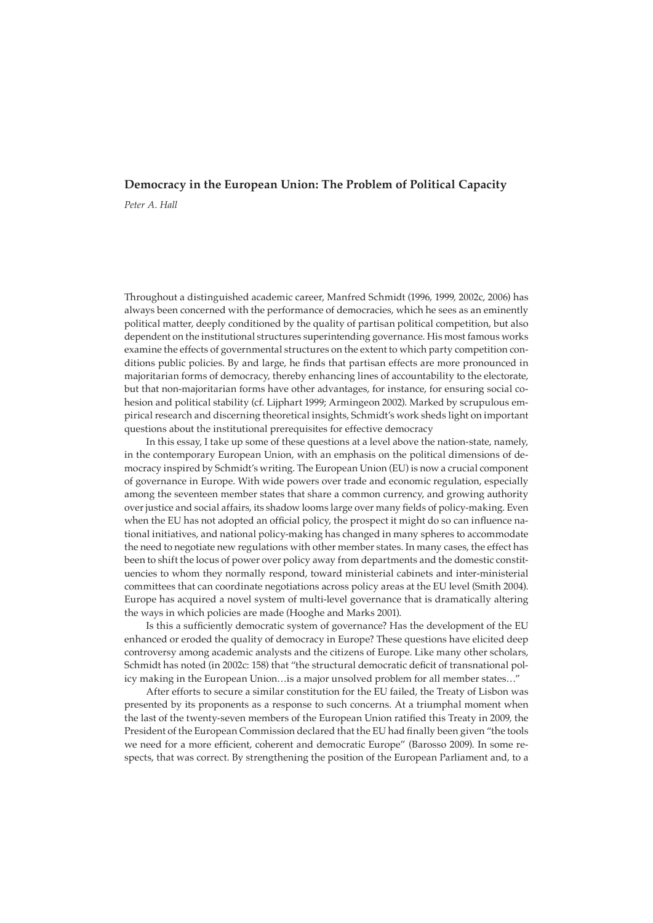# **Democracy in the European Union: The Problem of Political Capacity**

*Peter A. Hall*

Throughout a distinguished academic career, Manfred Schmidt (1996, 1999, 2002c, 2006) has always been concerned with the performance of democracies, which he sees as an eminently political matter, deeply conditioned by the quality of partisan political competition, but also dependent on the institutional structures superintending governance. His most famous works examine the effects of governmental structures on the extent to which party competition conditions public policies. By and large, he finds that partisan effects are more pronounced in majoritarian forms of democracy, thereby enhancing lines of accountability to the electorate, but that non-majoritarian forms have other advantages, for instance, for ensuring social cohesion and political stability (cf. Lijphart 1999; Armingeon 2002). Marked by scrupulous empirical research and discerning theoretical insights, Schmidt's work sheds light on important questions about the institutional prerequisites for effective democracy

In this essay, I take up some of these questions at a level above the nation-state, namely, in the contemporary European Union, with an emphasis on the political dimensions of democracy inspired by Schmidt's writing. The European Union (EU) is now a crucial component of governance in Europe. With wide powers over trade and economic regulation, especially among the seventeen member states that share a common currency, and growing authority over justice and social affairs, its shadow looms large over many fields of policy-making. Even when the EU has not adopted an official policy, the prospect it might do so can influence national initiatives, and national policy-making has changed in many spheres to accommodate the need to negotiate new regulations with other member states. In many cases, the effect has been to shift the locus of power over policy away from departments and the domestic constituencies to whom they normally respond, toward ministerial cabinets and inter-ministerial committees that can coordinate negotiations across policy areas at the EU level (Smith 2004). Europe has acquired a novel system of multi-level governance that is dramatically altering the ways in which policies are made (Hooghe and Marks 2001).

Is this a sufficiently democratic system of governance? Has the development of the EU enhanced or eroded the quality of democracy in Europe? These questions have elicited deep controversy among academic analysts and the citizens of Europe. Like many other scholars, Schmidt has noted (in 2002c: 158) that "the structural democratic deficit of transnational policy making in the European Union…is a major unsolved problem for all member states…"

After efforts to secure a similar constitution for the EU failed, the Treaty of Lisbon was presented by its proponents as a response to such concerns. At a triumphal moment when the last of the twenty-seven members of the European Union ratified this Treaty in 2009, the President of the European Commission declared that the EU had finally been given "the tools we need for a more efficient, coherent and democratic Europe" (Barosso 2009). In some respects, that was correct. By strengthening the position of the European Parliament and, to a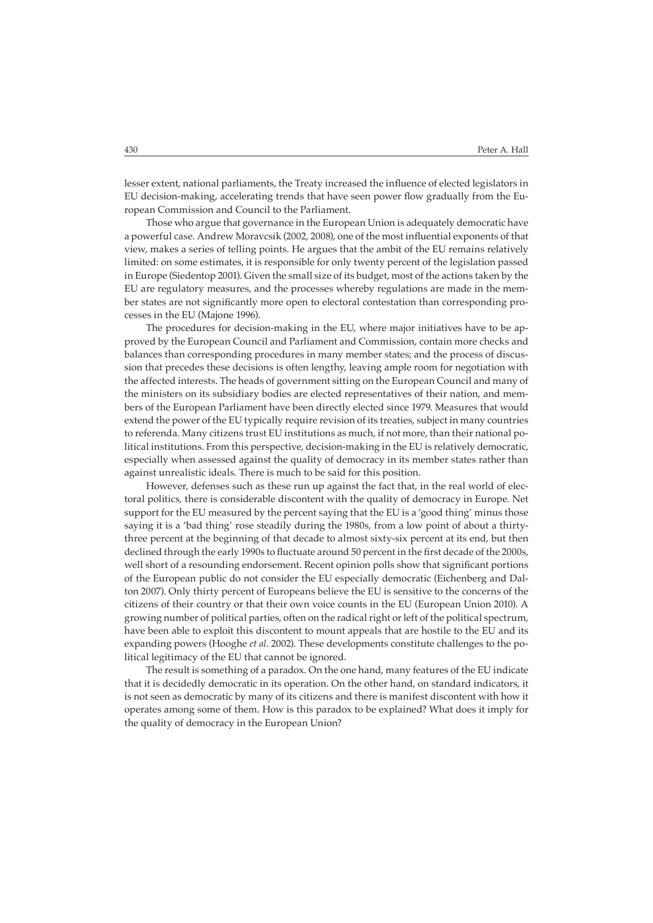lesser extent, national parliaments, the Treaty increased the influence of elected legislators in EU decision-making, accelerating trends that have seen power flow gradually from the European Commission and Council to the Parliament.

Those who argue that governance in the European Union is adequately democratic have a powerful case. Andrew Moravcsik (2002, 2008), one of the most influential exponents of that view, makes a series of telling points. He argues that the ambit of the EU remains relatively limited: on some estimates, it is responsible for only twenty percent of the legislation passed in Europe (Siedentop 2001). Given the small size of its budget, most of the actions taken by the EU are regulatory measures, and the processes whereby regulations are made in the member states are not significantly more open to electoral contestation than corresponding processes in the EU (Majone 1996).

The procedures for decision-making in the EU, where major initiatives have to be approved by the European Council and Parliament and Commission, contain more checks and balances than corresponding procedures in many member states; and the process of discussion that precedes these decisions is often lengthy, leaving ample room for negotiation with the affected interests. The heads of government sitting on the European Council and many of the ministers on its subsidiary bodies are elected representatives of their nation, and members of the European Parliament have been directly elected since 1979. Measures that would extend the power of the EU typically require revision of its treaties, subject in many countries to referenda. Many citizens trust EU institutions as much, if not more, than their national political institutions. From this perspective, decision-making in the EU is relatively democratic, especially when assessed against the quality of democracy in its member states rather than against unrealistic ideals. There is much to be said for this position.

However, defenses such as these run up against the fact that, in the real world of electoral politics, there is considerable discontent with the quality of democracy in Europe. Net support for the EU measured by the percent saying that the EU is a 'good thing' minus those saying it is a 'bad thing' rose steadily during the 1980s, from a low point of about a thirtythree percent at the beginning of that decade to almost sixty-six percent at its end, but then declined through the early 1990s to fluctuate around 50 percent in the first decade of the 2000s, well short of a resounding endorsement. Recent opinion polls show that significant portions of the European public do not consider the EU especially democratic (Eichenberg and Dalton 2007). Only thirty percent of Europeans believe the EU is sensitive to the concerns of the citizens of their country or that their own voice counts in the EU (European Union 2010). A growing number of political parties, often on the radical right or left of the political spectrum, have been able to exploit this discontent to mount appeals that are hostile to the EU and its expanding powers (Hooghe *et al*. 2002). These developments constitute challenges to the political legitimacy of the EU that cannot be ignored.

The result is something of a paradox. On the one hand, many features of the EU indicate that it is decidedly democratic in its operation. On the other hand, on standard indicators, it is not seen as democratic by many of its citizens and there is manifest discontent with how it operates among some of them. How is this paradox to be explained? What does it imply for the quality of democracy in the European Union?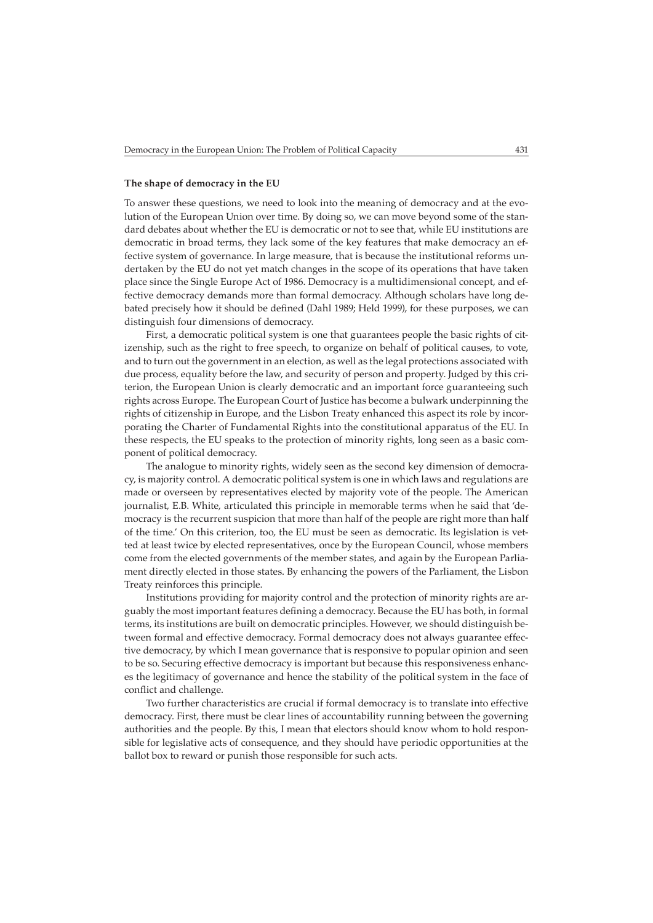#### **The shape of democracy in the EU**

To answer these questions, we need to look into the meaning of democracy and at the evolution of the European Union over time. By doing so, we can move beyond some of the standard debates about whether the EU is democratic or not to see that, while EU institutions are democratic in broad terms, they lack some of the key features that make democracy an effective system of governance. In large measure, that is because the institutional reforms undertaken by the EU do not yet match changes in the scope of its operations that have taken place since the Single Europe Act of 1986. Democracy is a multidimensional concept, and effective democracy demands more than formal democracy. Although scholars have long debated precisely how it should be defined (Dahl 1989; Held 1999), for these purposes, we can distinguish four dimensions of democracy.

First, a democratic political system is one that guarantees people the basic rights of citizenship, such as the right to free speech, to organize on behalf of political causes, to vote, and to turn out the government in an election, as well as the legal protections associated with due process, equality before the law, and security of person and property. Judged by this criterion, the European Union is clearly democratic and an important force guaranteeing such rights across Europe. The European Court of Justice has become a bulwark underpinning the rights of citizenship in Europe, and the Lisbon Treaty enhanced this aspect its role by incorporating the Charter of Fundamental Rights into the constitutional apparatus of the EU. In these respects, the EU speaks to the protection of minority rights, long seen as a basic component of political democracy.

The analogue to minority rights, widely seen as the second key dimension of democracy, is majority control. A democratic political system is one in which laws and regulations are made or overseen by representatives elected by majority vote of the people. The American journalist, E.B. White, articulated this principle in memorable terms when he said that 'democracy is the recurrent suspicion that more than half of the people are right more than half of the time.' On this criterion, too, the EU must be seen as democratic. Its legislation is vetted at least twice by elected representatives, once by the European Council, whose members come from the elected governments of the member states, and again by the European Parliament directly elected in those states. By enhancing the powers of the Parliament, the Lisbon Treaty reinforces this principle.

Institutions providing for majority control and the protection of minority rights are arguably the most important features defining a democracy. Because the EU has both, in formal terms, its institutions are built on democratic principles. However, we should distinguish between formal and effective democracy. Formal democracy does not always guarantee effective democracy, by which I mean governance that is responsive to popular opinion and seen to be so. Securing effective democracy is important but because this responsiveness enhances the legitimacy of governance and hence the stability of the political system in the face of conflict and challenge.

Two further characteristics are crucial if formal democracy is to translate into effective democracy. First, there must be clear lines of accountability running between the governing authorities and the people. By this, I mean that electors should know whom to hold responsible for legislative acts of consequence, and they should have periodic opportunities at the ballot box to reward or punish those responsible for such acts.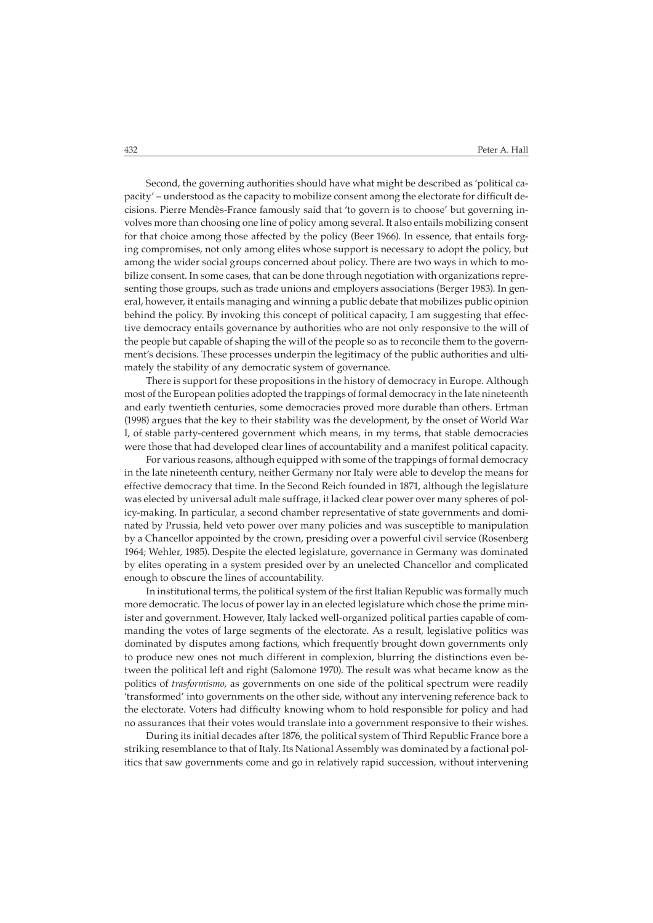Second, the governing authorities should have what might be described as 'political capacity' – understood as the capacity to mobilize consent among the electorate for difficult decisions. Pierre Mendès-France famously said that 'to govern is to choose' but governing involves more than choosing one line of policy among several. It also entails mobilizing consent for that choice among those affected by the policy (Beer 1966). In essence, that entails forging compromises, not only among elites whose support is necessary to adopt the policy, but among the wider social groups concerned about policy. There are two ways in which to mobilize consent. In some cases, that can be done through negotiation with organizations representing those groups, such as trade unions and employers associations (Berger 1983). In general, however, it entails managing and winning a public debate that mobilizes public opinion behind the policy. By invoking this concept of political capacity, I am suggesting that effective democracy entails governance by authorities who are not only responsive to the will of the people but capable of shaping the will of the people so as to reconcile them to the government's decisions. These processes underpin the legitimacy of the public authorities and ultimately the stability of any democratic system of governance.

There is support for these propositions in the history of democracy in Europe. Although most of the European polities adopted the trappings of formal democracy in the late nineteenth and early twentieth centuries, some democracies proved more durable than others. Ertman (1998) argues that the key to their stability was the development, by the onset of World War I, of stable party-centered government which means, in my terms, that stable democracies were those that had developed clear lines of accountability and a manifest political capacity.

For various reasons, although equipped with some of the trappings of formal democracy in the late nineteenth century, neither Germany nor Italy were able to develop the means for effective democracy that time. In the Second Reich founded in 1871, although the legislature was elected by universal adult male suffrage, it lacked clear power over many spheres of policy-making. In particular, a second chamber representative of state governments and dominated by Prussia, held veto power over many policies and was susceptible to manipulation by a Chancellor appointed by the crown, presiding over a powerful civil service (Rosenberg 1964; Wehler, 1985). Despite the elected legislature, governance in Germany was dominated by elites operating in a system presided over by an unelected Chancellor and complicated enough to obscure the lines of accountability.

In institutional terms, the political system of the first Italian Republic was formally much more democratic. The locus of power lay in an elected legislature which chose the prime minister and government. However, Italy lacked well-organized political parties capable of commanding the votes of large segments of the electorate. As a result, legislative politics was dominated by disputes among factions, which frequently brought down governments only to produce new ones not much different in complexion, blurring the distinctions even between the political left and right (Salomone 1970). The result was what became know as the politics of *trasformismo*, as governments on one side of the political spectrum were readily 'transformed' into governments on the other side, without any intervening reference back to the electorate. Voters had difficulty knowing whom to hold responsible for policy and had no assurances that their votes would translate into a government responsive to their wishes.

During its initial decades after 1876, the political system of Third Republic France bore a striking resemblance to that of Italy. Its National Assembly was dominated by a factional politics that saw governments come and go in relatively rapid succession, without intervening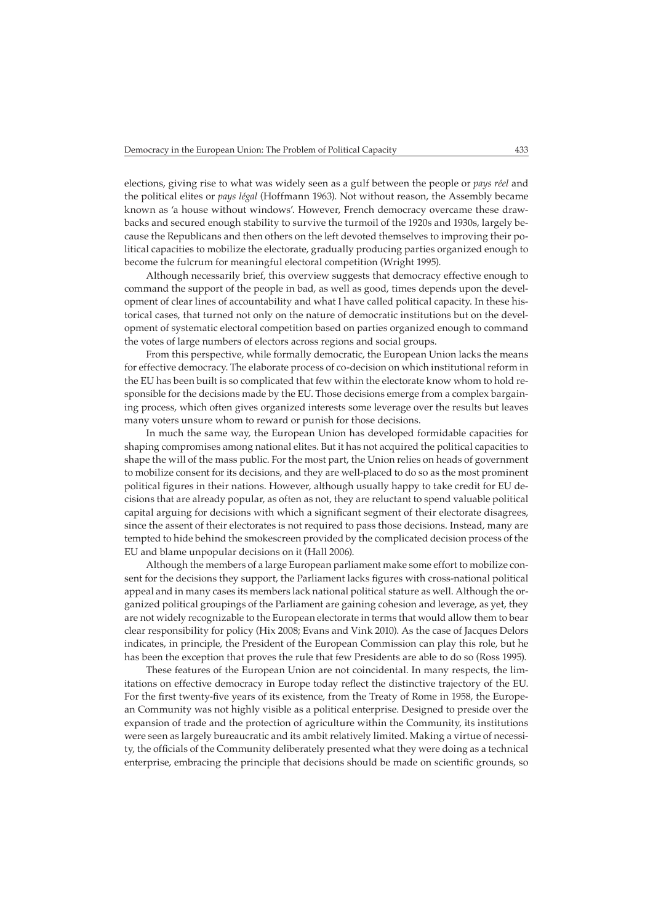elections, giving rise to what was widely seen as a gulf between the people or *pays réel* and the political elites or *pays légal* (Hoffmann 1963). Not without reason, the Assembly became known as 'a house without windows'. However, French democracy overcame these drawbacks and secured enough stability to survive the turmoil of the 1920s and 1930s, largely because the Republicans and then others on the left devoted themselves to improving their political capacities to mobilize the electorate, gradually producing parties organized enough to become the fulcrum for meaningful electoral competition (Wright 1995).

Although necessarily brief, this overview suggests that democracy effective enough to command the support of the people in bad, as well as good, times depends upon the development of clear lines of accountability and what I have called political capacity. In these historical cases, that turned not only on the nature of democratic institutions but on the development of systematic electoral competition based on parties organized enough to command the votes of large numbers of electors across regions and social groups.

From this perspective, while formally democratic, the European Union lacks the means for effective democracy. The elaborate process of co-decision on which institutional reform in the EU has been built is so complicated that few within the electorate know whom to hold responsible for the decisions made by the EU. Those decisions emerge from a complex bargaining process, which often gives organized interests some leverage over the results but leaves many voters unsure whom to reward or punish for those decisions.

In much the same way, the European Union has developed formidable capacities for shaping compromises among national elites. But it has not acquired the political capacities to shape the will of the mass public. For the most part, the Union relies on heads of government to mobilize consent for its decisions, and they are well-placed to do so as the most prominent political figures in their nations. However, although usually happy to take credit for EU decisions that are already popular, as often as not, they are reluctant to spend valuable political capital arguing for decisions with which a significant segment of their electorate disagrees, since the assent of their electorates is not required to pass those decisions. Instead, many are tempted to hide behind the smokescreen provided by the complicated decision process of the EU and blame unpopular decisions on it (Hall 2006).

Although the members of a large European parliament make some effort to mobilize consent for the decisions they support, the Parliament lacks figures with cross-national political appeal and in many cases its members lack national political stature as well. Although the organized political groupings of the Parliament are gaining cohesion and leverage, as yet, they are not widely recognizable to the European electorate in terms that would allow them to bear clear responsibility for policy (Hix 2008; Evans and Vink 2010). As the case of Jacques Delors indicates, in principle, the President of the European Commission can play this role, but he has been the exception that proves the rule that few Presidents are able to do so (Ross 1995).

These features of the European Union are not coincidental. In many respects, the limitations on effective democracy in Europe today reflect the distinctive trajectory of the EU. For the first twenty-five years of its existence, from the Treaty of Rome in 1958, the European Community was not highly visible as a political enterprise. Designed to preside over the expansion of trade and the protection of agriculture within the Community, its institutions were seen as largely bureaucratic and its ambit relatively limited. Making a virtue of necessity, the officials of the Community deliberately presented what they were doing as a technical enterprise, embracing the principle that decisions should be made on scientific grounds, so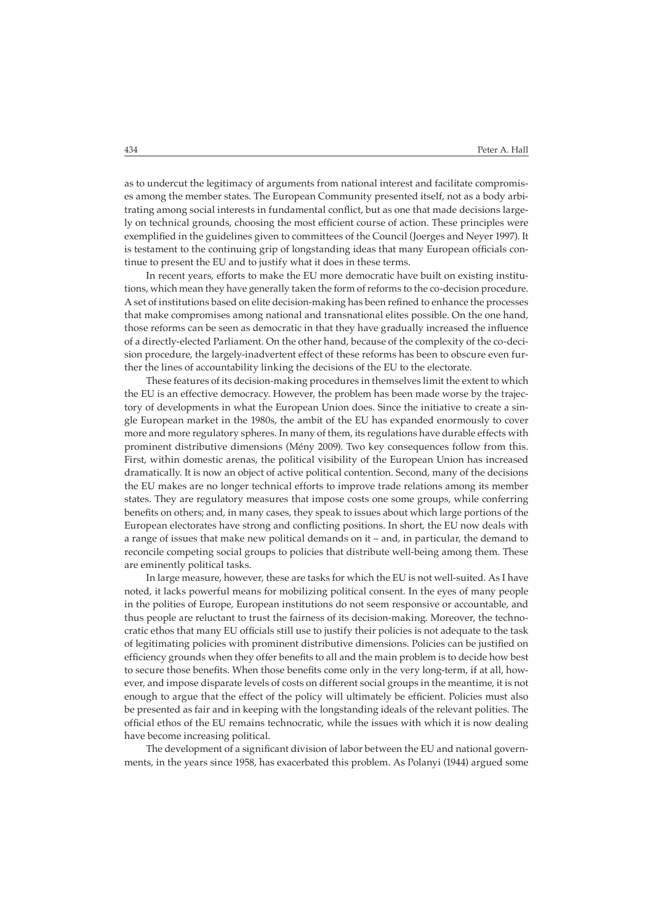as to undercut the legitimacy of arguments from national interest and facilitate compromises among the member states. The European Community presented itself, not as a body arbitrating among social interests in fundamental conflict, but as one that made decisions largely on technical grounds, choosing the most efficient course of action. These principles were exemplified in the guidelines given to committees of the Council (Joerges and Neyer 1997). It is testament to the continuing grip of longstanding ideas that many European officials continue to present the EU and to justify what it does in these terms.

In recent years, efforts to make the EU more democratic have built on existing institutions, which mean they have generally taken the form of reforms to the co-decision procedure. A set of institutions based on elite decision-making has been refined to enhance the processes that make compromises among national and transnational elites possible. On the one hand, those reforms can be seen as democratic in that they have gradually increased the influence of a directly-elected Parliament. On the other hand, because of the complexity of the co-decision procedure, the largely-inadvertent effect of these reforms has been to obscure even further the lines of accountability linking the decisions of the EU to the electorate.

These features of its decision-making procedures in themselves limit the extent to which the EU is an effective democracy. However, the problem has been made worse by the trajectory of developments in what the European Union does. Since the initiative to create a single European market in the 1980s, the ambit of the EU has expanded enormously to cover more and more regulatory spheres. In many of them, its regulations have durable effects with prominent distributive dimensions (Mény 2009). Two key consequences follow from this. First, within domestic arenas, the political visibility of the European Union has increased dramatically. It is now an object of active political contention. Second, many of the decisions the EU makes are no longer technical efforts to improve trade relations among its member states. They are regulatory measures that impose costs one some groups, while conferring benefits on others; and, in many cases, they speak to issues about which large portions of the European electorates have strong and conflicting positions. In short, the EU now deals with a range of issues that make new political demands on it – and, in particular, the demand to reconcile competing social groups to policies that distribute well-being among them. These are eminently political tasks.

In large measure, however, these are tasks for which the EU is not well-suited. As I have noted, it lacks powerful means for mobilizing political consent. In the eyes of many people in the polities of Europe, European institutions do not seem responsive or accountable, and thus people are reluctant to trust the fairness of its decision-making. Moreover, the technocratic ethos that many EU officials still use to justify their policies is not adequate to the task of legitimating policies with prominent distributive dimensions. Policies can be justified on efficiency grounds when they offer benefits to all and the main problem is to decide how best to secure those benefits. When those benefits come only in the very long-term, if at all, however, and impose disparate levels of costs on different social groups in the meantime, it is not enough to argue that the effect of the policy will ultimately be efficient. Policies must also be presented as fair and in keeping with the longstanding ideals of the relevant polities. The official ethos of the EU remains technocratic, while the issues with which it is now dealing have become increasing political.

The development of a significant division of labor between the EU and national governments, in the years since 1958, has exacerbated this problem. As Polanyi (1944) argued some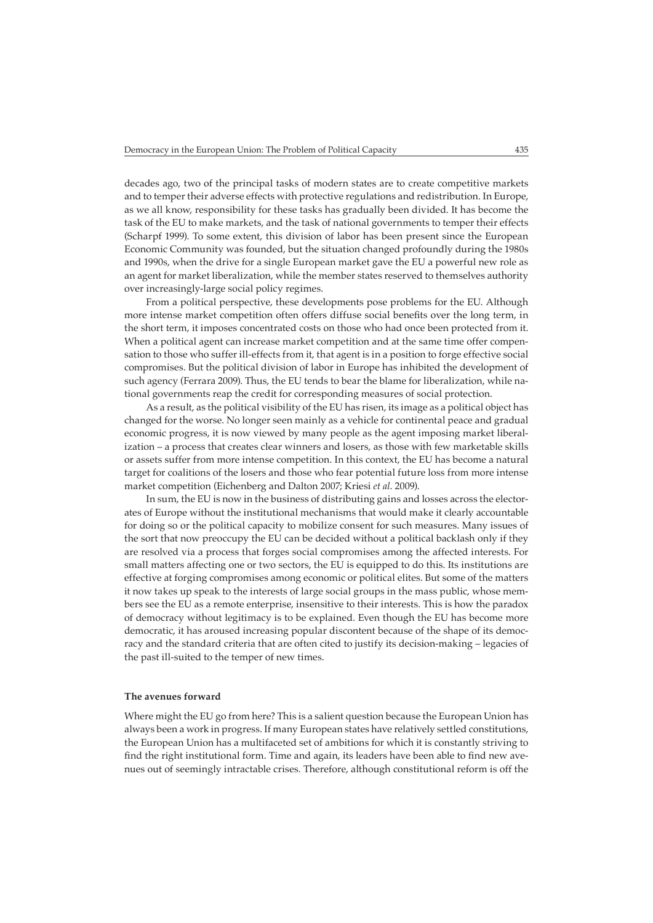decades ago, two of the principal tasks of modern states are to create competitive markets and to temper their adverse effects with protective regulations and redistribution. In Europe, as we all know, responsibility for these tasks has gradually been divided. It has become the task of the EU to make markets, and the task of national governments to temper their effects (Scharpf 1999). To some extent, this division of labor has been present since the European Economic Community was founded, but the situation changed profoundly during the 1980s and 1990s, when the drive for a single European market gave the EU a powerful new role as an agent for market liberalization, while the member states reserved to themselves authority over increasingly-large social policy regimes.

From a political perspective, these developments pose problems for the EU. Although more intense market competition often offers diffuse social benefits over the long term, in the short term, it imposes concentrated costs on those who had once been protected from it. When a political agent can increase market competition and at the same time offer compensation to those who suffer ill-effects from it, that agent is in a position to forge effective social compromises. But the political division of labor in Europe has inhibited the development of such agency (Ferrara 2009). Thus, the EU tends to bear the blame for liberalization, while national governments reap the credit for corresponding measures of social protection.

As a result, as the political visibility of the EU has risen, its image as a political object has changed for the worse. No longer seen mainly as a vehicle for continental peace and gradual economic progress, it is now viewed by many people as the agent imposing market liberalization – a process that creates clear winners and losers, as those with few marketable skills or assets suffer from more intense competition. In this context, the EU has become a natural target for coalitions of the losers and those who fear potential future loss from more intense market competition (Eichenberg and Dalton 2007; Kriesi *et al*. 2009).

In sum, the EU is now in the business of distributing gains and losses across the electorates of Europe without the institutional mechanisms that would make it clearly accountable for doing so or the political capacity to mobilize consent for such measures. Many issues of the sort that now preoccupy the EU can be decided without a political backlash only if they are resolved via a process that forges social compromises among the affected interests. For small matters affecting one or two sectors, the EU is equipped to do this. Its institutions are effective at forging compromises among economic or political elites. But some of the matters it now takes up speak to the interests of large social groups in the mass public, whose members see the EU as a remote enterprise, insensitive to their interests. This is how the paradox of democracy without legitimacy is to be explained. Even though the EU has become more democratic, it has aroused increasing popular discontent because of the shape of its democracy and the standard criteria that are often cited to justify its decision-making – legacies of the past ill-suited to the temper of new times.

## **The avenues forward**

Where might the EU go from here? This is a salient question because the European Union has always been a work in progress. If many European states have relatively settled constitutions, the European Union has a multifaceted set of ambitions for which it is constantly striving to find the right institutional form. Time and again, its leaders have been able to find new avenues out of seemingly intractable crises. Therefore, although constitutional reform is off the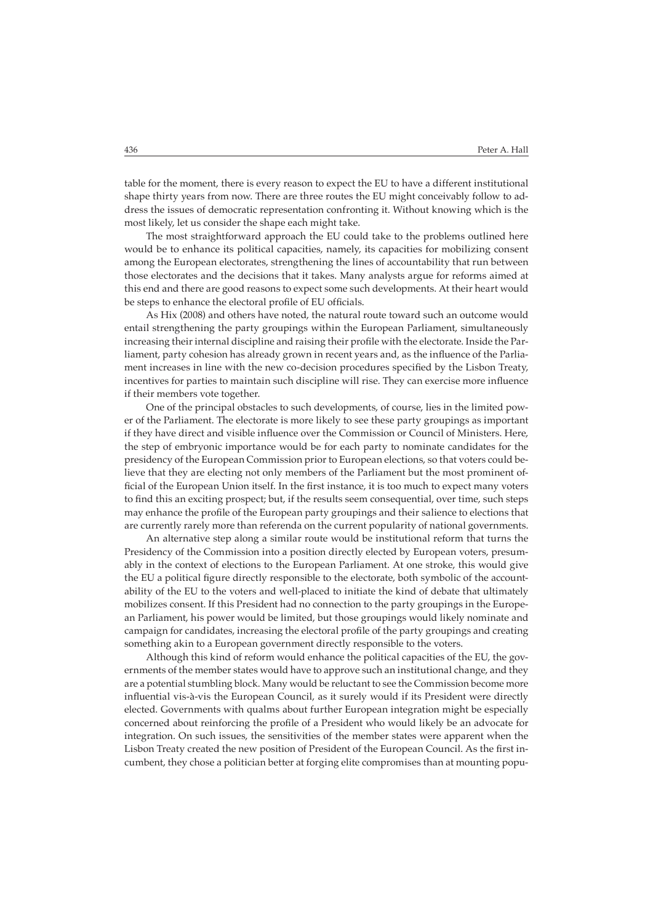table for the moment, there is every reason to expect the EU to have a different institutional shape thirty years from now. There are three routes the EU might conceivably follow to address the issues of democratic representation confronting it. Without knowing which is the most likely, let us consider the shape each might take.

The most straightforward approach the EU could take to the problems outlined here would be to enhance its political capacities, namely, its capacities for mobilizing consent among the European electorates, strengthening the lines of accountability that run between those electorates and the decisions that it takes. Many analysts argue for reforms aimed at this end and there are good reasons to expect some such developments. At their heart would be steps to enhance the electoral profile of EU officials.

As Hix (2008) and others have noted, the natural route toward such an outcome would entail strengthening the party groupings within the European Parliament, simultaneously increasing their internal discipline and raising their profile with the electorate. Inside the Parliament, party cohesion has already grown in recent years and, as the influence of the Parliament increases in line with the new co-decision procedures specified by the Lisbon Treaty, incentives for parties to maintain such discipline will rise. They can exercise more influence if their members vote together.

One of the principal obstacles to such developments, of course, lies in the limited power of the Parliament. The electorate is more likely to see these party groupings as important if they have direct and visible influence over the Commission or Council of Ministers. Here, the step of embryonic importance would be for each party to nominate candidates for the presidency of the European Commission prior to European elections, so that voters could believe that they are electing not only members of the Parliament but the most prominent official of the European Union itself. In the first instance, it is too much to expect many voters to find this an exciting prospect; but, if the results seem consequential, over time, such steps may enhance the profile of the European party groupings and their salience to elections that are currently rarely more than referenda on the current popularity of national governments.

An alternative step along a similar route would be institutional reform that turns the Presidency of the Commission into a position directly elected by European voters, presumably in the context of elections to the European Parliament. At one stroke, this would give the EU a political figure directly responsible to the electorate, both symbolic of the accountability of the EU to the voters and well-placed to initiate the kind of debate that ultimately mobilizes consent. If this President had no connection to the party groupings in the European Parliament, his power would be limited, but those groupings would likely nominate and campaign for candidates, increasing the electoral profile of the party groupings and creating something akin to a European government directly responsible to the voters.

Although this kind of reform would enhance the political capacities of the EU, the governments of the member states would have to approve such an institutional change, and they are a potential stumbling block. Many would be reluctant to see the Commission become more influential vis-à-vis the European Council, as it surely would if its President were directly elected. Governments with qualms about further European integration might be especially concerned about reinforcing the profile of a President who would likely be an advocate for integration. On such issues, the sensitivities of the member states were apparent when the Lisbon Treaty created the new position of President of the European Council. As the first incumbent, they chose a politician better at forging elite compromises than at mounting popu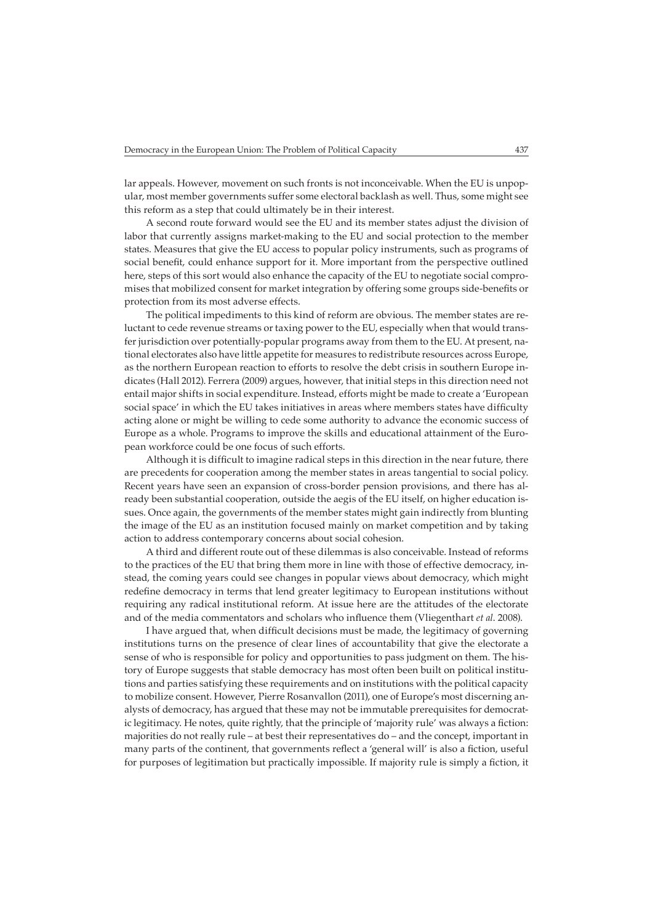lar appeals. However, movement on such fronts is not inconceivable. When the EU is unpopular, most member governments suffer some electoral backlash as well. Thus, some might see this reform as a step that could ultimately be in their interest.

A second route forward would see the EU and its member states adjust the division of labor that currently assigns market-making to the EU and social protection to the member states. Measures that give the EU access to popular policy instruments, such as programs of social benefit, could enhance support for it. More important from the perspective outlined here, steps of this sort would also enhance the capacity of the EU to negotiate social compromises that mobilized consent for market integration by offering some groups side-benefits or protection from its most adverse effects.

The political impediments to this kind of reform are obvious. The member states are reluctant to cede revenue streams or taxing power to the EU, especially when that would transfer jurisdiction over potentially-popular programs away from them to the EU. At present, national electorates also have little appetite for measures to redistribute resources across Europe, as the northern European reaction to efforts to resolve the debt crisis in southern Europe indicates (Hall 2012). Ferrera (2009) argues, however, that initial steps in this direction need not entail major shifts in social expenditure. Instead, efforts might be made to create a 'European social space' in which the EU takes initiatives in areas where members states have difficulty acting alone or might be willing to cede some authority to advance the economic success of Europe as a whole. Programs to improve the skills and educational attainment of the European workforce could be one focus of such efforts.

Although it is difficult to imagine radical steps in this direction in the near future, there are precedents for cooperation among the member states in areas tangential to social policy. Recent years have seen an expansion of cross-border pension provisions, and there has already been substantial cooperation, outside the aegis of the EU itself, on higher education issues. Once again, the governments of the member states might gain indirectly from blunting the image of the EU as an institution focused mainly on market competition and by taking action to address contemporary concerns about social cohesion.

A third and different route out of these dilemmas is also conceivable. Instead of reforms to the practices of the EU that bring them more in line with those of effective democracy, instead, the coming years could see changes in popular views about democracy, which might redefine democracy in terms that lend greater legitimacy to European institutions without requiring any radical institutional reform. At issue here are the attitudes of the electorate and of the media commentators and scholars who influence them (Vliegenthart *et al*. 2008).

I have argued that, when difficult decisions must be made, the legitimacy of governing institutions turns on the presence of clear lines of accountability that give the electorate a sense of who is responsible for policy and opportunities to pass judgment on them. The history of Europe suggests that stable democracy has most often been built on political institutions and parties satisfying these requirements and on institutions with the political capacity to mobilize consent. However, Pierre Rosanvallon (2011), one of Europe's most discerning analysts of democracy, has argued that these may not be immutable prerequisites for democratic legitimacy. He notes, quite rightly, that the principle of 'majority rule' was always a fiction: majorities do not really rule – at best their representatives do – and the concept, important in many parts of the continent, that governments reflect a 'general will' is also a fiction, useful for purposes of legitimation but practically impossible. If majority rule is simply a fiction, it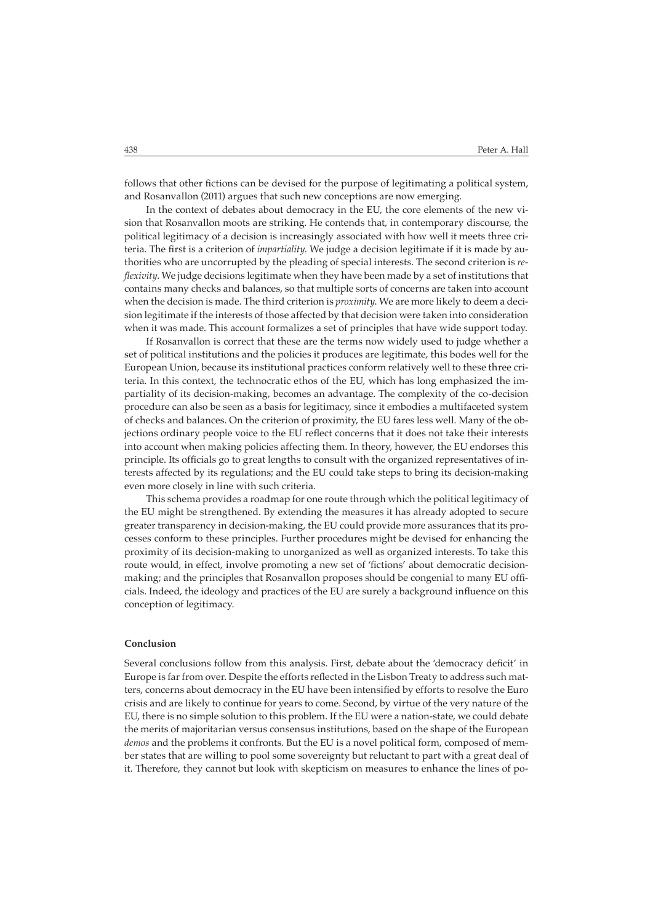follows that other fictions can be devised for the purpose of legitimating a political system, and Rosanvallon (2011) argues that such new conceptions are now emerging.

In the context of debates about democracy in the EU, the core elements of the new vision that Rosanvallon moots are striking. He contends that, in contemporary discourse, the political legitimacy of a decision is increasingly associated with how well it meets three criteria. The first is a criterion of *impartiality*. We judge a decision legitimate if it is made by authorities who are uncorrupted by the pleading of special interests. The second criterion is *reflexivity*. We judge decisions legitimate when they have been made by a set of institutions that contains many checks and balances, so that multiple sorts of concerns are taken into account when the decision is made. The third criterion is *proximity*. We are more likely to deem a decision legitimate if the interests of those affected by that decision were taken into consideration when it was made. This account formalizes a set of principles that have wide support today.

If Rosanvallon is correct that these are the terms now widely used to judge whether a set of political institutions and the policies it produces are legitimate, this bodes well for the European Union, because its institutional practices conform relatively well to these three criteria. In this context, the technocratic ethos of the EU, which has long emphasized the impartiality of its decision-making, becomes an advantage. The complexity of the co-decision procedure can also be seen as a basis for legitimacy, since it embodies a multifaceted system of checks and balances. On the criterion of proximity, the EU fares less well. Many of the objections ordinary people voice to the EU reflect concerns that it does not take their interests into account when making policies affecting them. In theory, however, the EU endorses this principle. Its officials go to great lengths to consult with the organized representatives of interests affected by its regulations; and the EU could take steps to bring its decision-making even more closely in line with such criteria.

This schema provides a roadmap for one route through which the political legitimacy of the EU might be strengthened. By extending the measures it has already adopted to secure greater transparency in decision-making, the EU could provide more assurances that its processes conform to these principles. Further procedures might be devised for enhancing the proximity of its decision-making to unorganized as well as organized interests. To take this route would, in effect, involve promoting a new set of 'fictions' about democratic decisionmaking; and the principles that Rosanvallon proposes should be congenial to many EU officials. Indeed, the ideology and practices of the EU are surely a background influence on this conception of legitimacy.

# **Conclusion**

Several conclusions follow from this analysis. First, debate about the 'democracy deficit' in Europe is far from over. Despite the efforts reflected in the Lisbon Treaty to address such matters, concerns about democracy in the EU have been intensified by efforts to resolve the Euro crisis and are likely to continue for years to come. Second, by virtue of the very nature of the EU, there is no simple solution to this problem. If the EU were a nation-state, we could debate the merits of majoritarian versus consensus institutions, based on the shape of the European *demos* and the problems it confronts. But the EU is a novel political form, composed of member states that are willing to pool some sovereignty but reluctant to part with a great deal of it. Therefore, they cannot but look with skepticism on measures to enhance the lines of po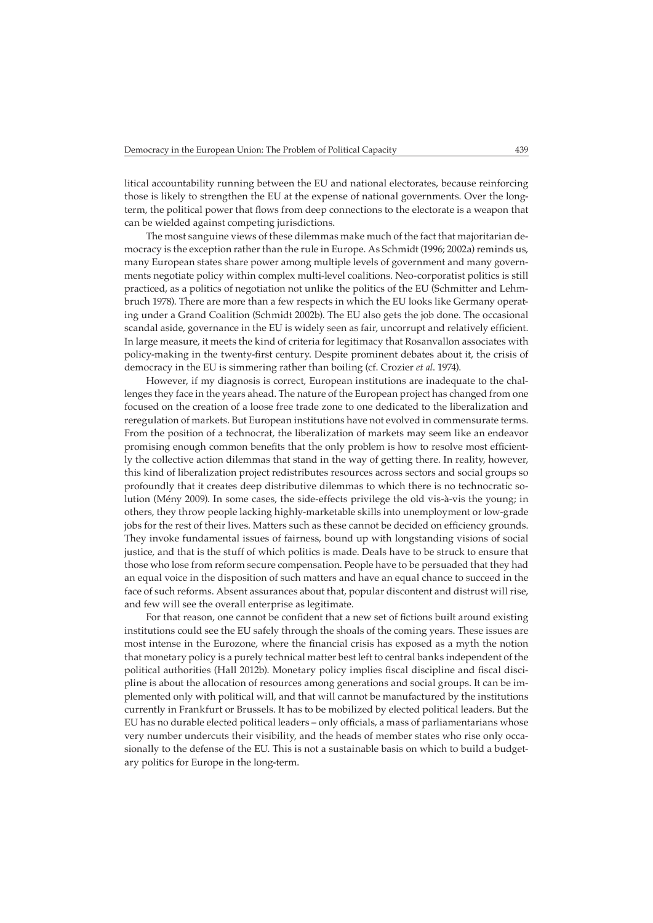litical accountability running between the EU and national electorates, because reinforcing those is likely to strengthen the EU at the expense of national governments. Over the longterm, the political power that flows from deep connections to the electorate is a weapon that can be wielded against competing jurisdictions.

The most sanguine views of these dilemmas make much of the fact that majoritarian democracy is the exception rather than the rule in Europe. As Schmidt (1996; 2002a) reminds us, many European states share power among multiple levels of government and many governments negotiate policy within complex multi-level coalitions. Neo-corporatist politics is still practiced, as a politics of negotiation not unlike the politics of the EU (Schmitter and Lehmbruch 1978). There are more than a few respects in which the EU looks like Germany operating under a Grand Coalition (Schmidt 2002b). The EU also gets the job done. The occasional scandal aside, governance in the EU is widely seen as fair, uncorrupt and relatively efficient. In large measure, it meets the kind of criteria for legitimacy that Rosanvallon associates with policy-making in the twenty-first century. Despite prominent debates about it, the crisis of democracy in the EU is simmering rather than boiling (cf. Crozier *et al*. 1974).

However, if my diagnosis is correct, European institutions are inadequate to the challenges they face in the years ahead. The nature of the European project has changed from one focused on the creation of a loose free trade zone to one dedicated to the liberalization and reregulation of markets. But European institutions have not evolved in commensurate terms. From the position of a technocrat, the liberalization of markets may seem like an endeavor promising enough common benefits that the only problem is how to resolve most efficiently the collective action dilemmas that stand in the way of getting there. In reality, however, this kind of liberalization project redistributes resources across sectors and social groups so profoundly that it creates deep distributive dilemmas to which there is no technocratic solution (Mény 2009). In some cases, the side-effects privilege the old vis-à-vis the young; in others, they throw people lacking highly-marketable skills into unemployment or low-grade jobs for the rest of their lives. Matters such as these cannot be decided on efficiency grounds. They invoke fundamental issues of fairness, bound up with longstanding visions of social justice, and that is the stuff of which politics is made. Deals have to be struck to ensure that those who lose from reform secure compensation. People have to be persuaded that they had an equal voice in the disposition of such matters and have an equal chance to succeed in the face of such reforms. Absent assurances about that, popular discontent and distrust will rise, and few will see the overall enterprise as legitimate.

For that reason, one cannot be confident that a new set of fictions built around existing institutions could see the EU safely through the shoals of the coming years. These issues are most intense in the Eurozone, where the financial crisis has exposed as a myth the notion that monetary policy is a purely technical matter best left to central banks independent of the political authorities (Hall 2012b). Monetary policy implies fiscal discipline and fiscal discipline is about the allocation of resources among generations and social groups. It can be implemented only with political will, and that will cannot be manufactured by the institutions currently in Frankfurt or Brussels. It has to be mobilized by elected political leaders. But the EU has no durable elected political leaders – only officials, a mass of parliamentarians whose very number undercuts their visibility, and the heads of member states who rise only occasionally to the defense of the EU. This is not a sustainable basis on which to build a budgetary politics for Europe in the long-term.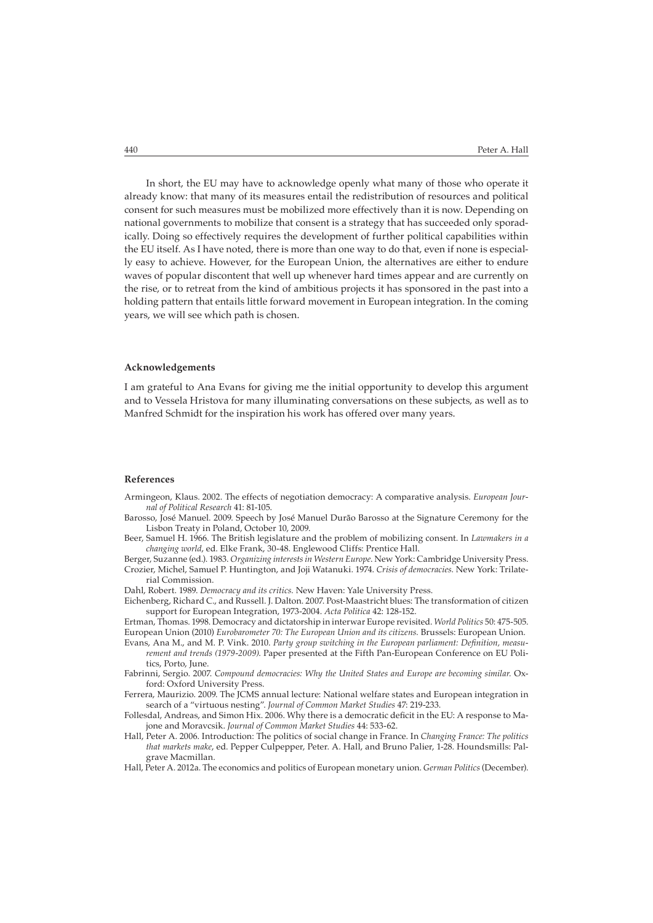In short, the EU may have to acknowledge openly what many of those who operate it already know: that many of its measures entail the redistribution of resources and political consent for such measures must be mobilized more effectively than it is now. Depending on national governments to mobilize that consent is a strategy that has succeeded only sporadically. Doing so effectively requires the development of further political capabilities within the EU itself. As I have noted, there is more than one way to do that, even if none is especially easy to achieve. However, for the European Union, the alternatives are either to endure waves of popular discontent that well up whenever hard times appear and are currently on the rise, or to retreat from the kind of ambitious projects it has sponsored in the past into a holding pattern that entails little forward movement in European integration. In the coming years, we will see which path is chosen.

### **Acknowledgements**

I am grateful to Ana Evans for giving me the initial opportunity to develop this argument and to Vessela Hristova for many illuminating conversations on these subjects, as well as to Manfred Schmidt for the inspiration his work has offered over many years.

#### **References**

- Armingeon, Klaus. 2002. The effects of negotiation democracy: A comparative analysis. *European Journal of Political Research* 41: 81-105.
- Barosso, José Manuel. 2009. Speech by José Manuel Durão Barosso at the Signature Ceremony for the Lisbon Treaty in Poland, October 10, 2009.
- Beer, Samuel H. 1966. The British legislature and the problem of mobilizing consent. In *Lawmakers in a changing world*, ed. Elke Frank, 30-48. Englewood Cliffs: Prentice Hall.
- Berger, Suzanne (ed.). 1983. *Organizing interests in Western Europe*. New York: Cambridge University Press. Crozier, Michel, Samuel P. Huntington, and Joji Watanuki. 1974. *Crisis of democracies.* New York: Trilaterial Commission.

Dahl, Robert. 1989. *Democracy and its critics.* New Haven: Yale University Press.

Eichenberg, Richard C., and Russell. J. Dalton. 2007. Post-Maastricht blues: The transformation of citizen support for European Integration, 1973-2004. *Acta Politica* 42: 128-152.

Ertman, Thomas. 1998. Democracy and dictatorship in interwar Europe revisited. *World Politics* 50: 475-505. European Union (2010) *Eurobarometer 70: The European Union and its citizens.* Brussels: European Union.

- Evans, Ana M., and M. P. Vink. 2010. *Party group switching in the European parliament: Definition, measurement and trends (1979-2009)*. Paper presented at the Fifth Pan-European Conference on EU Politics, Porto, June.
- Fabrinni, Sergio. 2007. *Compound democracies: Why the United States and Europe are becoming similar.* Oxford: Oxford University Press.

Ferrera, Maurizio. 2009. The JCMS annual lecture: National welfare states and European integration in search of a "virtuous nesting". *Journal of Common Market Studies* 47: 219-233.

- Follesdal, Andreas, and Simon Hix. 2006. Why there is a democratic deficit in the EU: A response to Majone and Moravcsik. *Journal of Common Market Studies* 44: 533-62.
- Hall, Peter A. 2006. Introduction: The politics of social change in France. In *Changing France: The politics that markets make*, ed. Pepper Culpepper, Peter. A. Hall, and Bruno Palier, 1-28. Houndsmills: Palgrave Macmillan.
- Hall, Peter A. 2012a. The economics and politics of European monetary union. *German Politics* (December).